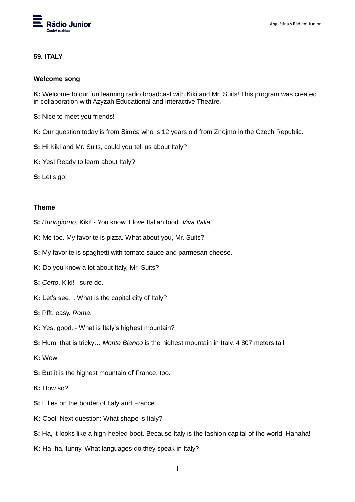

## **59. ITALY**

## **Welcome song**

**K:** Welcome to our fun learning radio broadcast with Kiki and Mr. Suits! This program was created in collaboration with Azyzah Educational and Interactive Theatre.

- **S:** Nice to meet you friends!
- **K:** Our question today is from Simča who is 12 years old from Znojmo in the Czech Republic.
- **S:** Hi Kiki and Mr. Suits, could you tell us about Italy?
- **K:** Yes! Ready to learn about Italy?
- **S:** Let's go!

## **Theme**

- **S:** *Buongiorno*, Kiki! You know, I love Italian food. *Viva Italia*!
- **K:** Me too. My favorite is pizza. What about you, Mr. Suits?
- **S:** My favorite is spaghetti with tomato sauce and parmesan cheese.
- **K:** Do you know a lot about Italy, Mr. Suits?
- **S:** *Certo*, Kiki! I sure do.
- **K:** Let's see... What is the capital city of Italy?
- **S:** Pfft, easy. *Roma*.
- **K:** Yes, good. What is Italy's highest mountain?
- **S:** Hum, that is tricky… *Monte Bianco* is the highest mountain in Italy. 4 807 meters tall.
- **K:** Wow!
- **S:** But it is the highest mountain of France, too.
- **K:** How so?
- **S:** It lies on the border of Italy and France.
- **K:** Cool. Next question: What shape is Italy?
- **S:** Ha, it looks like a high-heeled boot. Because Italy is the fashion capital of the world. Hahaha!
- **K:** Ha, ha, funny. What languages do they speak in Italy?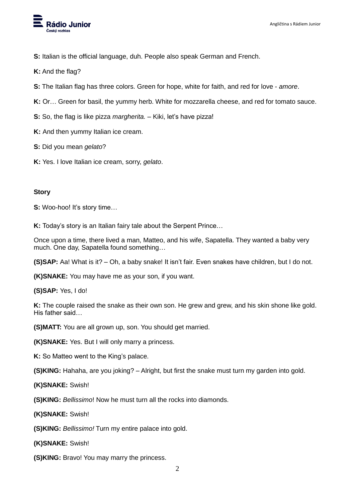

**S:** Italian is the official language, duh. People also speak German and French.

**K:** And the flag?

- **S:** The Italian flag has three colors. Green for hope, white for faith, and red for love *amore*.
- **K:** Or… Green for basil, the yummy herb. White for mozzarella cheese, and red for tomato sauce.

**S:** So, the flag is like pizza *margherita.* – Kiki, let's have pizza!

**K:** And then yummy Italian ice cream.

**S:** Did you mean *gelato*?

**K:** Yes. I love Italian ice cream, sorry, *gelato*.

## **Story**

**S:** Woo-hoo! It's story time...

**K:** Today's story is an Italian fairy tale about the Serpent Prince…

Once upon a time, there lived a man, Matteo, and his wife, Sapatella. They wanted a baby very much. One day, Sapatella found something…

**(S)SAP:** Aa! What is it? – Oh, a baby snake! It isn't fair. Even snakes have children, but I do not.

**(K)SNAKE:** You may have me as your son, if you want.

**(S)SAP:** Yes, I do!

**K:** The couple raised the snake as their own son. He grew and grew, and his skin shone like gold. His father said…

**(S)MATT:** You are all grown up, son. You should get married.

**(K)SNAKE:** Yes. But I will only marry a princess.

**K:** So Matteo went to the King's palace.

**(S)KING:** Hahaha, are you joking? – Alright, but first the snake must turn my garden into gold.

**(K)SNAKE:** Swish!

**(S)KING:** *Bellissimo*! Now he must turn all the rocks into diamonds.

**(K)SNAKE:** Swish!

**(S)KING:** *Bellissimo!* Turn my entire palace into gold.

**(K)SNAKE:** Swish!

**(S)KING:** Bravo! You may marry the princess.